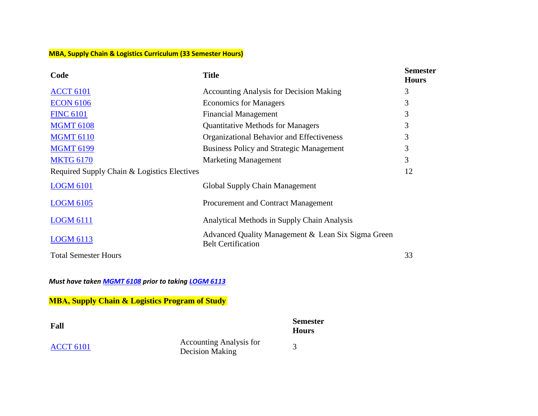## **MBA, Supply Chain & Logistics Curriculum (33 Semester Hours)**

| Code                                        | <b>Title</b>                                                                    | <b>Semester</b><br><b>Hours</b> |
|---------------------------------------------|---------------------------------------------------------------------------------|---------------------------------|
| <b>ACCT 6101</b>                            | <b>Accounting Analysis for Decision Making</b>                                  | 3                               |
| <b>ECON 6106</b>                            | <b>Economics for Managers</b>                                                   | 3                               |
| <b>FINC 6101</b>                            | <b>Financial Management</b>                                                     | 3                               |
| <b>MGMT 6108</b>                            | <b>Quantitative Methods for Managers</b>                                        | 3                               |
| <b>MGMT 6110</b>                            | Organizational Behavior and Effectiveness                                       | 3                               |
| <b>MGMT 6199</b>                            | <b>Business Policy and Strategic Management</b>                                 | 3                               |
| <b>MKTG 6170</b>                            | <b>Marketing Management</b>                                                     | 3                               |
| Required Supply Chain & Logistics Electives |                                                                                 | 12                              |
| <b>LOGM 6101</b>                            | Global Supply Chain Management                                                  |                                 |
| <b>LOGM 6105</b>                            | Procurement and Contract Management                                             |                                 |
| <b>LOGM 6111</b>                            | Analytical Methods in Supply Chain Analysis                                     |                                 |
| <b>LOGM 6113</b>                            | Advanced Quality Management & Lean Six Sigma Green<br><b>Belt Certification</b> |                                 |
| <b>Total Semester Hours</b>                 |                                                                                 | 33                              |

*Must have taken [MGMT](https://catalog.asurams.edu/search/?P=MGMT%206108) 6108 prior to takin[g LOGM](https://catalog.asurams.edu/search/?P=LOGM%206113) 6113*

**MBA, Supply Chain & Logistics Program of Study**

| Fall             |                                            | <b>Semester</b><br><b>Hours</b> |
|------------------|--------------------------------------------|---------------------------------|
| <b>ACCT 6101</b> | Accounting Analysis for<br>Decision Making |                                 |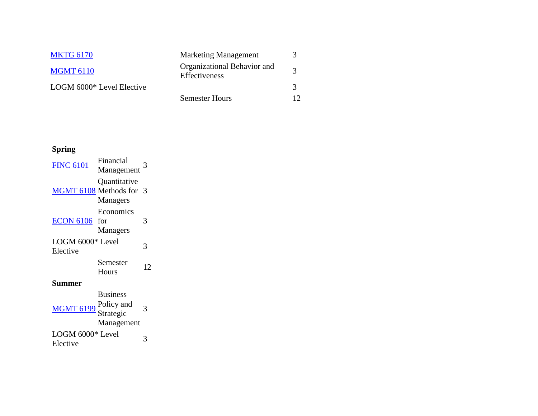| <b>MKTG 6170</b>          | <b>Marketing Management</b>                  |    |
|---------------------------|----------------------------------------------|----|
| <b>MGMT 6110</b>          | Organizational Behavior and<br>Effectiveness |    |
| LOGM 6000* Level Elective |                                              |    |
|                           | <b>Semester Hours</b>                        | 12 |

## **Spring**

| <b>FINC 6101</b>             | Financial<br>Management                                  | 3  |
|------------------------------|----------------------------------------------------------|----|
| MGMT 6108 Methods for        | Quantitative<br>Managers                                 | 3  |
| <b>ECON 6106</b>             | Economics<br>for<br>Managers                             | 3  |
| LOGM 6000* Level<br>Elective |                                                          | 3  |
|                              | Semester<br>Hours                                        | 12 |
| Summer                       |                                                          |    |
| <b>MGMT 6199</b>             | <b>Business</b><br>Policy and<br>Strategic<br>Management | 3  |
| LOGM 6000* Level<br>Elective |                                                          | 3  |